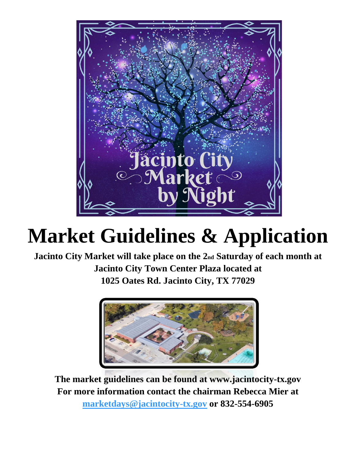

# **Market Guidelines & Application**

**Jacinto City Market will take place on the 2nd Saturday of each month at Jacinto City Town Center Plaza located at 1025 Oates Rd. Jacinto City, TX 77029**



**The market guidelines can be found at www.jacintocity-tx.gov For more information contact the chairman Rebecca Mier at [marketdays@jacintocity-tx.gov](mailto:marketdays@jacintocity-tx.gov) or 832-554-6905**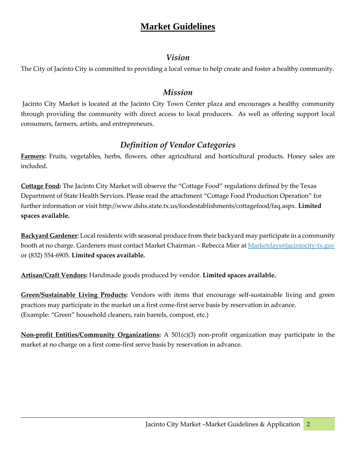# **Market Guidelines**

### *Vision*

The City of Jacinto City is committed to providing a local venue to help create and foster a healthy community.

#### *Mission*

Jacinto City Market is located at the Jacinto City Town Center plaza and encourages a healthy community through providing the community with direct access to local producers. As well as offering support local consumers, farmers, artists, and entrepreneurs.

## *Definition of Vendor Categories*

**Farmers:** Fruits, vegetables, herbs, flowers, other agricultural and horticultural products. Honey sales are included.

**Cottage Food:** The Jacinto City Market will observe the "Cottage Food" regulations defined by the Texas Department of State Health Services. Please read the attachment "Cottage Food Production Operation" for further information or visit [http://www.dshs.state.tx.us/foodestablishments/cottagefood/faq.aspx.](http://www.dshs.state.tx.us/foodestablishments/cottagefood/faq.aspx) **Limited spaces available.**

**Backyard Gardener**: Local residents with seasonal produce from their backyard may participate in a community booth at no charge. Gardeners must contact Market Chairman - Rebecca Mier at [Marketdays@jacintocity-tx.gov](mailto:Marketdays@jacintocity-tx.gov) or (832) 554-6905. **Limited spaces available.**

**Artisan/Craft Vendors:** Handmade goods produced by vendor. **Limited spaces available.**

**Green/Sustainable Living Products:** Vendors with items that encourage self-sustainable living and green practices may participate in the market on a first come-first serve basis by reservation in advance. (Example: "Green" household cleaners, rain barrels, compost, etc.)

**Non-profit Entities/Community Organizations:** A 501(c)(3) non-profit organization may participate in the market at no charge on a first come-first serve basis by reservation in advance.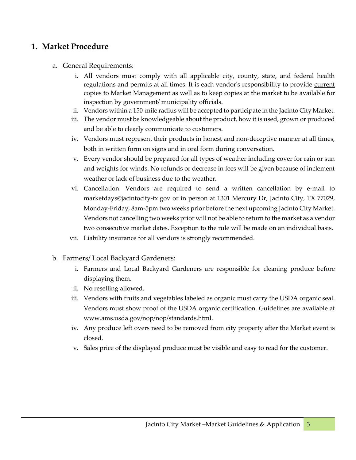#### **1. Market Procedure**

- a. General Requirements:
	- i. All vendors must comply with all applicable city, county, state, and federal health regulations and permits at all times. It is each vendor's responsibility to provide current copies to Market Management as well as to keep copies at the market to be available for inspection by government/ municipality officials.
	- ii. Vendors within a 150-mile radius will be accepted to participate in the Jacinto City Market.
	- iii. The vendor must be knowledgeable about the product, how it is used, grown or produced and be able to clearly communicate to customers.
	- iv. Vendors must represent their products in honest and non-deceptive manner at all times, both in written form on signs and in oral form during conversation.
	- v. Every vendor should be prepared for all types of weather including cover for rain or sun and weights for winds. No refunds or decrease in fees will be given because of inclement weather or lack of business due to the weather.
	- vi. Cancellation: Vendors are required to send a written cancellation by e-mail to marketdays@jacintocity-tx.gov or in person at 1301 Mercury Dr, Jacinto City, TX 77029, Monday-Friday, 8am-5pm two weeks prior before the next upcoming Jacinto City Market. Vendors not cancelling two weeks prior will not be able to return to the market as a vendor two consecutive market dates. Exception to the rule will be made on an individual basis.
	- vii. Liability insurance for all vendors is strongly recommended.
- b. Farmers/ Local Backyard Gardeners:
	- i. Farmers and Local Backyard Gardeners are responsible for cleaning produce before displaying them.
	- ii. No reselling allowed.
	- iii. Vendors with fruits and vegetables labeled as organic must carry the USDA organic seal. Vendors must show proof of the USDA organic certification. Guidelines are available at [www.ams.usda.gov/nop/nop/standards.html.](http://www.ams.usda.gov/nop/nop/standards.html)
	- iv. Any produce left overs need to be removed from city property after the Market event is closed.
	- v. Sales price of the displayed produce must be visible and easy to read for the customer.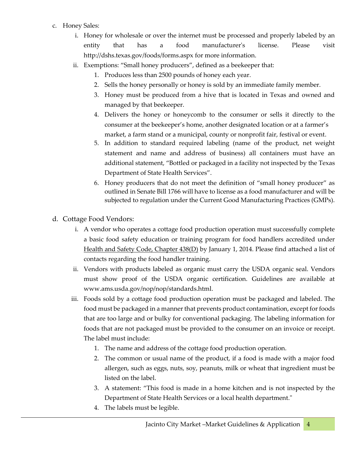- c. Honey Sales:
	- i. Honey for wholesale or over the internet must be processed and properly labeled by an entity that has a food manufacturer's license. Please visit <http://dshs.texas.gov/foods/forms.aspx> for more information.
	- ii. Exemptions: "Small honey producers", defined as a beekeeper that:
		- 1. Produces less than 2500 pounds of honey each year.
		- 2. Sells the honey personally or honey is sold by an immediate family member.
		- 3. Honey must be produced from a hive that is located in Texas and owned and managed by that beekeeper.
		- 4. Delivers the honey or honeycomb to the consumer or sells it directly to the consumer at the beekeeper's home, another designated location or at a farmer's market, a farm stand or a municipal, county or nonprofit fair, festival or event.
		- 5. In addition to standard required labeling (name of the product, net weight statement and name and address of business) all containers must have an additional statement, "Bottled or packaged in a facility not inspected by the Texas Department of State Health Services".
		- 6. Honey producers that do not meet the definition of "small honey producer" as outlined in Senate Bill 1766 will have to license as a food manufacturer and will be subjected to regulation under the Current Good Manufacturing Practices (GMPs).
- d. Cottage Food Vendors:
	- i. A vendor who operates a cottage food production operation must successfully complete a basic food safety education or training program for food handlers accredited under [Health and Safety Code, Chapter 438\(D\)](http://www.statutes.legis.state.tx.us/Docs/HS/htm/HS.438.htm#D) by January 1, 2014. Please find attached a list of contacts regarding the food handler training.
	- ii. Vendors with products labeled as organic must carry the USDA organic seal. Vendors must show proof of the USDA organic certification. Guidelines are available at [www.ams.usda.gov/nop/nop/standards.html.](http://www.ams.usda.gov/nop/nop/standards.html)
	- iii. Foods sold by a cottage food production operation must be packaged and labeled. The food must be packaged in a manner that prevents product contamination, except for foods that are too large and or bulky for conventional packaging. The labeling information for foods that are not packaged must be provided to the consumer on an invoice or receipt. The label must include:
		- 1. The name and address of the cottage food production operation.
		- 2. The common or usual name of the product, if a food is made with a major food allergen, such as eggs, nuts, soy, peanuts, milk or wheat that ingredient must be listed on the label.
		- 3. A statement: "This food is made in a home kitchen and is not inspected by the Department of State Health Services or a local health department."
		- 4. The labels must be legible.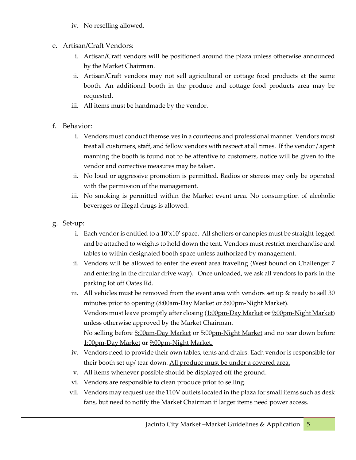- iv. No reselling allowed.
- e. Artisan/Craft Vendors:
	- i. Artisan/Craft vendors will be positioned around the plaza unless otherwise announced by the Market Chairman.
	- ii. Artisan/Craft vendors may not sell agricultural or cottage food products at the same booth. An additional booth in the produce and cottage food products area may be requested.
	- iii. All items must be handmade by the vendor.
- f. Behavior:
	- i. Vendors must conduct themselves in a courteous and professional manner. Vendors must treat all customers, staff, and fellow vendors with respect at all times. If the vendor / agent manning the booth is found not to be attentive to customers, notice will be given to the vendor and corrective measures may be taken.
	- ii. No loud or aggressive promotion is permitted. Radios or stereos may only be operated with the permission of the management.
	- iii. No smoking is permitted within the Market event area. No consumption of alcoholic beverages or illegal drugs is allowed.
- g. Set-up:
	- i. Each vendor is entitled to a  $10'x10'$  space. All shelters or canopies must be straight-legged and be attached to weights to hold down the tent. Vendors must restrict merchandise and tables to within designated booth space unless authorized by management.
	- ii. Vendors will be allowed to enter the event area traveling (West bound on Challenger 7 and entering in the circular drive way). Once unloaded, we ask all vendors to park in the parking lot off Oates Rd.
	- iii. All vehicles must be removed from the event area with vendors set up  $\&$  ready to sell 30 minutes prior to opening (8:00am-Day Market or 5:00pm-Night Market). Vendors must leave promptly after closing (1:00pm-Day Market **or** 9:00pm-Night Market) unless otherwise approved by the Market Chairman. No selling before 8:00am-Day Market or 5:00pm-Night Market and no tear down before 1:00pm-Day Market **or** 9:00pm-Night Market.
	- iv. Vendors need to provide their own tables, tents and chairs. Each vendor is responsible for their booth set up/ tear down. All produce must be under a covered area.
	- v. All items whenever possible should be displayed off the ground.
	- vi. Vendors are responsible to clean produce prior to selling.
	- vii. Vendors may request use the 110V outlets located in the plaza for small items such as desk fans, but need to notify the Market Chairman if larger items need power access.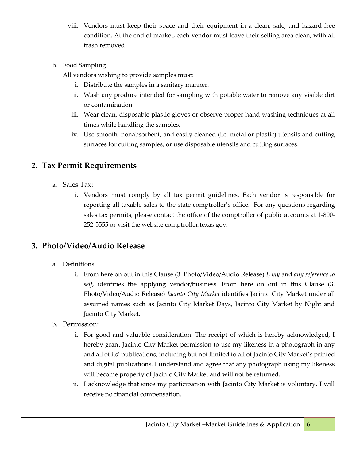- viii. Vendors must keep their space and their equipment in a clean, safe, and hazard-free condition. At the end of market, each vendor must leave their selling area clean, with all trash removed.
- h. Food Sampling
	- All vendors wishing to provide samples must:
		- i. Distribute the samples in a sanitary manner.
		- ii. Wash any produce intended for sampling with potable water to remove any visible dirt or contamination.
		- iii. Wear clean, disposable plastic gloves or observe proper hand washing techniques at all times while handling the samples.
		- iv. Use smooth, nonabsorbent, and easily cleaned (i.e. metal or plastic) utensils and cutting surfaces for cutting samples, or use disposable utensils and cutting surfaces.

## **2. Tax Permit Requirements**

- a. Sales Tax:
	- i. Vendors must comply by all tax permit guidelines. Each vendor is responsible for reporting all taxable sales to the state comptroller's office. For any questions regarding sales tax permits, please contact the office of the comptroller of public accounts at 1-800- 252-5555 or visit the website comptroller.texas.gov.

## **3. Photo/Video/Audio Release**

- a. Definitions:
	- i. From here on out in this Clause (3. Photo/Video/Audio Release) *I*, *my* and *any reference to self*, identifies the applying vendor/business. From here on out in this Clause (3. Photo/Video/Audio Release) *Jacinto City Market* identifies Jacinto City Market under all assumed names such as Jacinto City Market Days, Jacinto City Market by Night and Jacinto City Market.
- b. Permission:
	- i. For good and valuable consideration. The receipt of which is hereby acknowledged, I hereby grant Jacinto City Market permission to use my likeness in a photograph in any and all of its' publications, including but not limited to all of Jacinto City Market's printed and digital publications. I understand and agree that any photograph using my likeness will become property of Jacinto City Market and will not be returned.
	- ii. I acknowledge that since my participation with Jacinto City Market is voluntary, I will receive no financial compensation.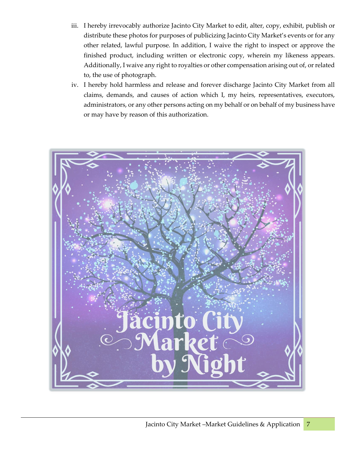- iii. I hereby irrevocably authorize Jacinto City Market to edit, alter, copy, exhibit, publish or distribute these photos for purposes of publicizing Jacinto City Market's events or for any other related, lawful purpose. In addition, I waive the right to inspect or approve the finished product, including written or electronic copy, wherein my likeness appears. Additionally, I waive any right to royalties or other compensation arising out of, or related to, the use of photograph.
- iv. I hereby hold harmless and release and forever discharge Jacinto City Market from all claims, demands, and causes of action which I, my heirs, representatives, executors, administrators, or any other persons acting on my behalf or on behalf of my business have or may have by reason of this authorization.